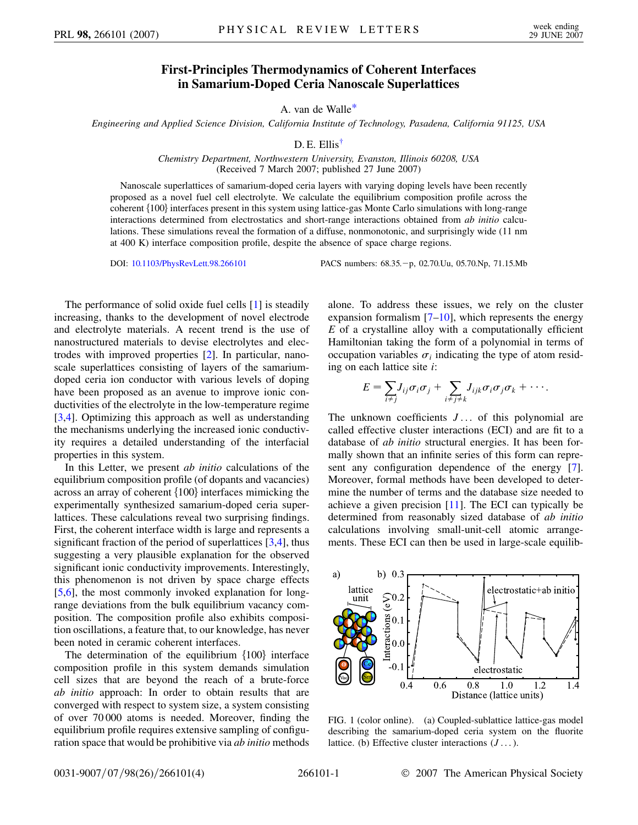## **First-Principles Thermodynamics of Coherent Interfaces in Samarium-Doped Ceria Nanoscale Superlattices**

A. van de Walle[\\*](#page-3-0)

<span id="page-0-2"></span><span id="page-0-1"></span>*Engineering and Applied Science Division, California Institute of Technology, Pasadena, California 91125, USA*

## D. E. Ellis<sup>[†](#page-3-1)</sup>

*Chemistry Department, Northwestern University, Evanston, Illinois 60208, USA* (Received 7 March 2007; published 27 June 2007)

Nanoscale superlattices of samarium-doped ceria layers with varying doping levels have been recently proposed as a novel fuel cell electrolyte. We calculate the equilibrium composition profile across the coherent {100} interfaces present in this system using lattice-gas Monte Carlo simulations with long-range interactions determined from electrostatics and short-range interactions obtained from *ab initio* calculations. These simulations reveal the formation of a diffuse, nonmonotonic, and surprisingly wide (11 nm at 400 K) interface composition profile, despite the absence of space charge regions.

DOI: [10.1103/PhysRevLett.98.266101](http://dx.doi.org/10.1103/PhysRevLett.98.266101) PACS numbers: 68.35.-p, 02.70.Uu, 05.70.Np, 71.15.Mb

The performance of solid oxide fuel cells [\[1](#page-3-2)] is steadily increasing, thanks to the development of novel electrode and electrolyte materials. A recent trend is the use of nanostructured materials to devise electrolytes and electrodes with improved properties [\[2](#page-3-3)]. In particular, nanoscale superlattices consisting of layers of the samariumdoped ceria ion conductor with various levels of doping have been proposed as an avenue to improve ionic conductivities of the electrolyte in the low-temperature regime [\[3,](#page-3-4)[4](#page-3-5)]. Optimizing this approach as well as understanding the mechanisms underlying the increased ionic conductivity requires a detailed understanding of the interfacial properties in this system.

In this Letter, we present *ab initio* calculations of the equilibrium composition profile (of dopants and vacancies) across an array of coherent  ${100}$  interfaces mimicking the experimentally synthesized samarium-doped ceria superlattices. These calculations reveal two surprising findings. First, the coherent interface width is large and represents a significant fraction of the period of superlattices  $[3,4]$  $[3,4]$  $[3,4]$  $[3,4]$ , thus suggesting a very plausible explanation for the observed significant ionic conductivity improvements. Interestingly, this phenomenon is not driven by space charge effects [\[5,](#page-3-6)[6](#page-3-7)], the most commonly invoked explanation for longrange deviations from the bulk equilibrium vacancy composition. The composition profile also exhibits composition oscillations, a feature that, to our knowledge, has never been noted in ceramic coherent interfaces.

The determination of the equilibrium  $\{100\}$  interface composition profile in this system demands simulation cell sizes that are beyond the reach of a brute-force *ab initio* approach: In order to obtain results that are converged with respect to system size, a system consisting of over 70 000 atoms is needed. Moreover, finding the equilibrium profile requires extensive sampling of configuration space that would be prohibitive via *ab initio* methods alone. To address these issues, we rely on the cluster expansion formalism  $[7–10]$  $[7–10]$ , which represents the energy *E* of a crystalline alloy with a computationally efficient Hamiltonian taking the form of a polynomial in terms of occupation variables  $\sigma_i$  indicating the type of atom residing on each lattice site *i*:

$$
E = \sum_{i \neq j} J_{ij} \sigma_i \sigma_j + \sum_{i \neq j \neq k} J_{ijk} \sigma_i \sigma_j \sigma_k + \cdots
$$

The unknown coefficients *J* ... of this polynomial are called effective cluster interactions (ECI) and are fit to a database of *ab initio* structural energies. It has been formally shown that an infinite series of this form can represent any configuration dependence of the energy [[7\]](#page-3-8). Moreover, formal methods have been developed to determine the number of terms and the database size needed to achieve a given precision  $[11]$  $[11]$  $[11]$ . The ECI can typically be determined from reasonably sized database of *ab initio* calculations involving small-unit-cell atomic arrangements. These ECI can then be used in large-scale equilib-



<span id="page-0-0"></span>FIG. 1 (color online). (a) Coupled-sublattice lattice-gas model describing the samarium-doped ceria system on the fluorite lattice. (b) Effective cluster interactions (*J* ...).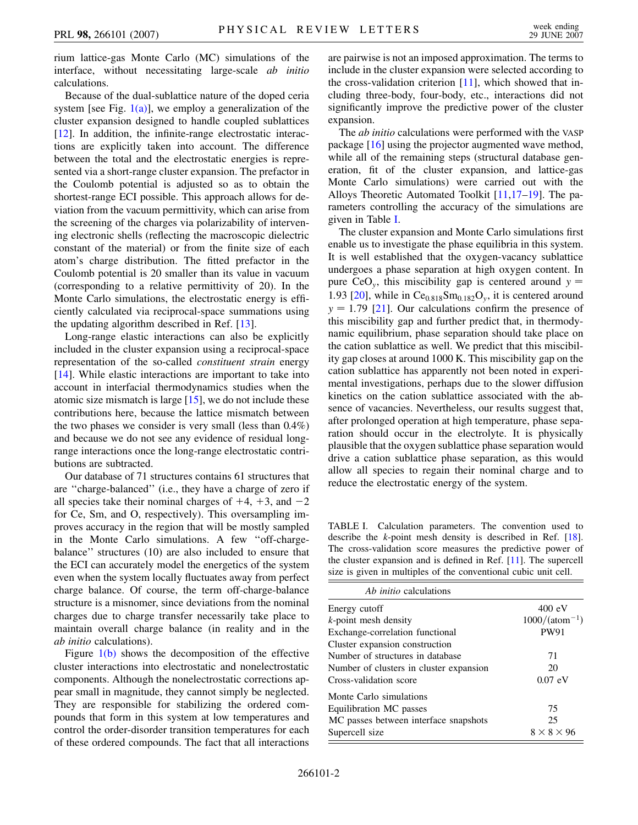rium lattice-gas Monte Carlo (MC) simulations of the interface, without necessitating large-scale *ab initio* calculations.

Because of the dual-sublattice nature of the doped ceria system [see Fig.  $1(a)$ ], we employ a generalization of the cluster expansion designed to handle coupled sublattices [\[12\]](#page-3-11). In addition, the infinite-range electrostatic interactions are explicitly taken into account. The difference between the total and the electrostatic energies is represented via a short-range cluster expansion. The prefactor in the Coulomb potential is adjusted so as to obtain the shortest-range ECI possible. This approach allows for deviation from the vacuum permittivity, which can arise from the screening of the charges via polarizability of intervening electronic shells (reflecting the macroscopic dielectric constant of the material) or from the finite size of each atom's charge distribution. The fitted prefactor in the Coulomb potential is 20 smaller than its value in vacuum (corresponding to a relative permittivity of 20). In the Monte Carlo simulations, the electrostatic energy is efficiently calculated via reciprocal-space summations using the updating algorithm described in Ref. [\[13\]](#page-3-12).

Long-range elastic interactions can also be explicitly included in the cluster expansion using a reciprocal-space representation of the so-called *constituent strain* energy [\[14\]](#page-3-13). While elastic interactions are important to take into account in interfacial thermodynamics studies when the atomic size mismatch is large [[15\]](#page-3-14), we do not include these contributions here, because the lattice mismatch between the two phases we consider is very small (less than 0.4%) and because we do not see any evidence of residual longrange interactions once the long-range electrostatic contributions are subtracted.

Our database of 71 structures contains 61 structures that are ''charge-balanced'' (i.e., they have a charge of zero if all species take their nominal charges of  $+4$ ,  $+3$ , and  $-2$ for Ce, Sm, and O, respectively). This oversampling improves accuracy in the region that will be mostly sampled in the Monte Carlo simulations. A few ''off-chargebalance'' structures (10) are also included to ensure that the ECI can accurately model the energetics of the system even when the system locally fluctuates away from perfect charge balance. Of course, the term off-charge-balance structure is a misnomer, since deviations from the nominal charges due to charge transfer necessarily take place to maintain overall charge balance (in reality and in the *ab initio* calculations).

Figure  $1(b)$  shows the decomposition of the effective cluster interactions into electrostatic and nonelectrostatic components. Although the nonelectrostatic corrections appear small in magnitude, they cannot simply be neglected. They are responsible for stabilizing the ordered compounds that form in this system at low temperatures and control the order-disorder transition temperatures for each of these ordered compounds. The fact that all interactions are pairwise is not an imposed approximation. The terms to include in the cluster expansion were selected according to the cross-validation criterion [\[11\]](#page-3-10), which showed that including three-body, four-body, etc., interactions did not significantly improve the predictive power of the cluster expansion.

The *ab initio* calculations were performed with the VASP package [\[16\]](#page-3-15) using the projector augmented wave method, while all of the remaining steps (structural database generation, fit of the cluster expansion, and lattice-gas Monte Carlo simulations) were carried out with the Alloys Theoretic Automated Toolkit [[11](#page-3-10),[17](#page-3-16)–[19](#page-3-17)]. The parameters controlling the accuracy of the simulations are given in Table [I.](#page-1-0)

The cluster expansion and Monte Carlo simulations first enable us to investigate the phase equilibria in this system. It is well established that the oxygen-vacancy sublattice undergoes a phase separation at high oxygen content. In pure CeO<sub>y</sub>, this miscibility gap is centered around  $y =$ 1.93 [[20](#page-3-18)], while in  $Ce<sub>0.818</sub>Sm<sub>0.182</sub>O<sub>v</sub>$ , it is centered around  $y = 1.79$  [[21](#page-3-19)]. Our calculations confirm the presence of this miscibility gap and further predict that, in thermodynamic equilibrium, phase separation should take place on the cation sublattice as well. We predict that this miscibility gap closes at around 1000 K. This miscibility gap on the cation sublattice has apparently not been noted in experimental investigations, perhaps due to the slower diffusion kinetics on the cation sublattice associated with the absence of vacancies. Nevertheless, our results suggest that, after prolonged operation at high temperature, phase separation should occur in the electrolyte. It is physically plausible that the oxygen sublattice phase separation would drive a cation sublattice phase separation, as this would allow all species to regain their nominal charge and to reduce the electrostatic energy of the system.

<span id="page-1-0"></span>TABLE I. Calculation parameters. The convention used to describe the *k*-point mesh density is described in Ref. [\[18\]](#page-3-20). The cross-validation score measures the predictive power of the cluster expansion and is defined in Ref. [[11](#page-3-10)]. The supercell size is given in multiples of the conventional cubic unit cell.

| <i>Ab initio</i> calculations           |                        |
|-----------------------------------------|------------------------|
| Energy cutoff                           | 400 eV                 |
| $k$ -point mesh density                 | $1000/(atom^{-1})$     |
| Exchange-correlation functional         | <b>PW91</b>            |
| Cluster expansion construction          |                        |
| Number of structures in database        | 71                     |
| Number of clusters in cluster expansion | 20                     |
| Cross-validation score                  | $0.07$ eV              |
| Monte Carlo simulations                 |                        |
| Equilibration MC passes                 | 75                     |
| MC passes between interface snapshots   | 25                     |
| Supercell size                          | $8 \times 8 \times 96$ |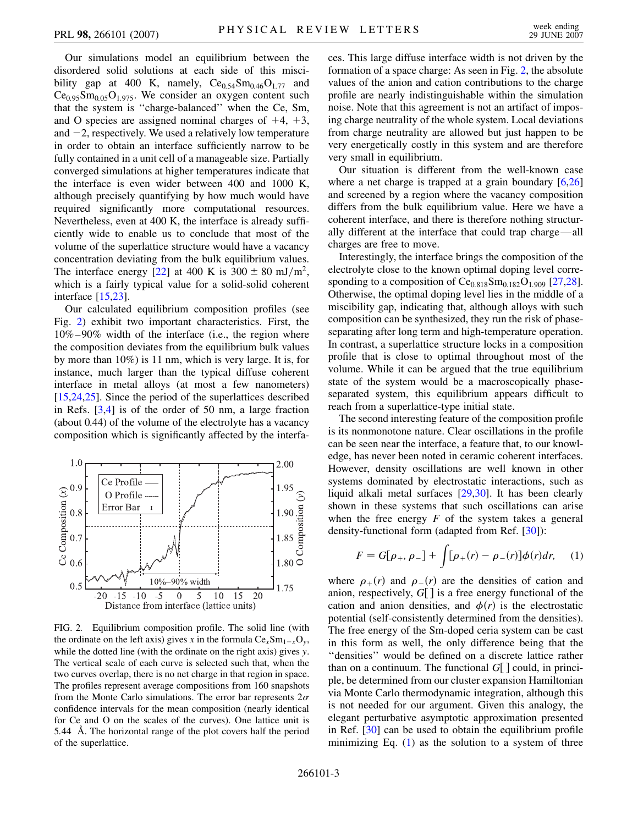Our simulations model an equilibrium between the disordered solid solutions at each side of this miscibility gap at 400 K, namely,  $Ce_{0.54}Sm_{0.46}O_{1.77}$  and  $Ce<sub>0.95</sub>Sm<sub>0.05</sub>O<sub>1.975</sub>$ . We consider an oxygen content such that the system is ''charge-balanced'' when the Ce, Sm, and O species are assigned nominal charges of  $+4$ ,  $+3$ , and  $-2$ , respectively. We used a relatively low temperature in order to obtain an interface sufficiently narrow to be fully contained in a unit cell of a manageable size. Partially converged simulations at higher temperatures indicate that the interface is even wider between 400 and 1000 K, although precisely quantifying by how much would have required significantly more computational resources. Nevertheless, even at 400 K, the interface is already sufficiently wide to enable us to conclude that most of the volume of the superlattice structure would have a vacancy concentration deviating from the bulk equilibrium values. The interface energy [\[22\]](#page-3-21) at 400 K is  $300 \pm 80$  mJ/m<sup>2</sup>, which is a fairly typical value for a solid-solid coherent interface [\[15](#page-3-14)[,23\]](#page-3-22).

Our calculated equilibrium composition profiles (see Fig. [2](#page-2-0)) exhibit two important characteristics. First, the 10%–90% width of the interface (i.e., the region where the composition deviates from the equilibrium bulk values by more than 10%) is 11 nm, which is very large. It is, for instance, much larger than the typical diffuse coherent interface in metal alloys (at most a few nanometers) [\[15](#page-3-14)[,24,](#page-3-23)[25](#page-3-24)]. Since the period of the superlattices described in Refs. [[3](#page-3-4),[4\]](#page-3-5) is of the order of 50 nm, a large fraction (about 0.44) of the volume of the electrolyte has a vacancy composition which is significantly affected by the interfa-

<span id="page-2-0"></span>

FIG. 2. Equilibrium composition profile. The solid line (with the ordinate on the left axis) gives *x* in the formula  $Ce_{x}Sm_{1-x}O_{y}$ , while the dotted line (with the ordinate on the right axis) gives *y*. The vertical scale of each curve is selected such that, when the two curves overlap, there is no net charge in that region in space. The profiles represent average compositions from 160 snapshots from the Monte Carlo simulations. The error bar represents  $2\sigma$ confidence intervals for the mean composition (nearly identical for Ce and O on the scales of the curves). One lattice unit is 5*:*44 A . The horizontal range of the plot covers half the period of the superlattice.

ces. This large diffuse interface width is not driven by the formation of a space charge: As seen in Fig. [2,](#page-2-0) the absolute values of the anion and cation contributions to the charge profile are nearly indistinguishable within the simulation noise. Note that this agreement is not an artifact of imposing charge neutrality of the whole system. Local deviations from charge neutrality are allowed but just happen to be very energetically costly in this system and are therefore very small in equilibrium.

Our situation is different from the well-known case where a net charge is trapped at a grain boundary [\[6,](#page-3-7)[26\]](#page-3-25) and screened by a region where the vacancy composition differs from the bulk equilibrium value. Here we have a coherent interface, and there is therefore nothing structurally different at the interface that could trap charge—all charges are free to move.

Interestingly, the interface brings the composition of the electrolyte close to the known optimal doping level corre-sponding to a composition of Ce<sub>0.818</sub>Sm<sub>0.182</sub>O<sub>1.909</sub> [\[27,](#page-3-26)[28\]](#page-3-27). Otherwise, the optimal doping level lies in the middle of a miscibility gap, indicating that, although alloys with such composition can be synthesized, they run the risk of phaseseparating after long term and high-temperature operation. In contrast, a superlattice structure locks in a composition profile that is close to optimal throughout most of the volume. While it can be argued that the true equilibrium state of the system would be a macroscopically phaseseparated system, this equilibrium appears difficult to reach from a superlattice-type initial state.

The second interesting feature of the composition profile is its nonmonotone nature. Clear oscillations in the profile can be seen near the interface, a feature that, to our knowledge, has never been noted in ceramic coherent interfaces. However, density oscillations are well known in other systems dominated by electrostatic interactions, such as liquid alkali metal surfaces [[29](#page-3-28),[30](#page-3-29)]. It has been clearly shown in these systems that such oscillations can arise when the free energy *F* of the system takes a general density-functional form (adapted from Ref. [[30\]](#page-3-29)):

<span id="page-2-1"></span>
$$
F = G[\rho_+, \rho_-] + \int [\rho_+(r) - \rho_-(r)] \phi(r) dr, \quad (1)
$$

where  $\rho_{+}(r)$  and  $\rho_{-}(r)$  are the densities of cation and anion, respectively,  $G[$  is a free energy functional of the cation and anion densities, and  $\phi(r)$  is the electrostatic potential (self-consistently determined from the densities). The free energy of the Sm-doped ceria system can be cast in this form as well, the only difference being that the ''densities'' would be defined on a discrete lattice rather than on a continuum. The functional  $G[$  could, in principle, be determined from our cluster expansion Hamiltonian via Monte Carlo thermodynamic integration, although this is not needed for our argument. Given this analogy, the elegant perturbative asymptotic approximation presented in Ref. [\[30\]](#page-3-29) can be used to obtain the equilibrium profile minimizing Eq.  $(1)$  $(1)$  $(1)$  as the solution to a system of three